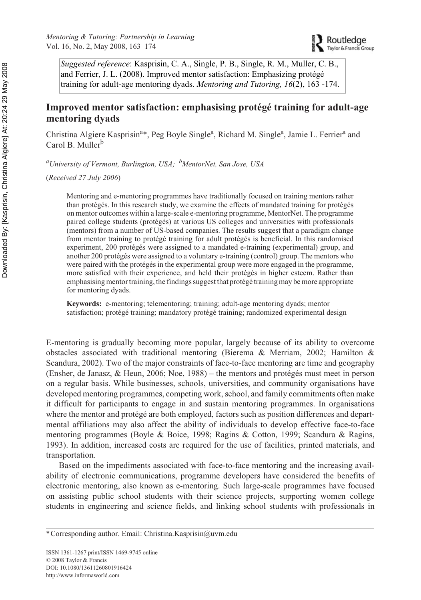

*Suggested reference*: Kasprisin, C. A., Single, P. B., Single, R. M., Muller, C. B., and Ferrier, J. L. (2008). Improved mentor satisfaction: Emphasizing protégé training for adult-age mentoring dyads. *Mentoring and Tutoring, 16*(2), 163 -174.

# **Improved mentor satisfaction: emphasising protégé training for adult-age mentoring dyads**

Christina Algiere Kasprisin<sup>a\*</sup>, Peg Boyle Single<sup>a</sup>, Richard M. Single<sup>a</sup>, Jamie L. Ferrier<sup>a</sup> and Carol B. Muller<sup>b</sup>

*a University of Vermont, Burlington, USA; <sup>b</sup> MentorNet, San Jose, USA*

(*Received 27 July 2006*)

Mentoring and e-mentoring programmes have traditionally focused on training mentors rather than protégés. In this research study, we examine the effects of mandated training for protégés on mentor outcomes within a large-scale e-mentoring programme, MentorNet. The programme paired college students (protégés) at various US colleges and universities with professionals (mentors) from a number of US-based companies. The results suggest that a paradigm change from mentor training to protégé training for adult protégés is beneficial. In this randomised experiment, 200 protégés were assigned to a mandated e-training (experimental) group, and another 200 protégés were assigned to a voluntary e-training (control) group. The mentors who were paired with the protégés in the experimental group were more engaged in the programme, more satisfied with their experience, and held their protégés in higher esteem. Rather than emphasising mentor training, the findings suggest that protégé training may be more appropriate for mentoring dyads.

**Keywords:** e-mentoring; telementoring; training; adult-age mentoring dyads; mentor satisfaction; protégé training; mandatory protégé training; randomized experimental design

E-mentoring is gradually becoming more popular, largely because of its ability to overcome obstacles associated with traditional mentoring (Bierema & Merriam, 2002; Hamilton & Scandura, 2002). Two of the major constraints of face-to-face mentoring are time and geography (Ensher, de Janasz, & Heun, 2006; Noe, 1988) – the mentors and protégés must meet in person on a regular basis. While businesses, schools, universities, and community organisations have developed mentoring programmes, competing work, school, and family commitments often make it difficult for participants to engage in and sustain mentoring programmes. In organisations where the mentor and protégé are both employed, factors such as position differences and departmental affiliations may also affect the ability of individuals to develop effective face-to-face mentoring programmes (Boyle & Boice, 1998; Ragins & Cotton, 1999; Scandura & Ragins, 1993). In addition, increased costs are required for the use of facilities, printed materials, and transportation.

Based on the impediments associated with face-to-face mentoring and the increasing availability of electronic communications, programme developers have considered the benefits of electronic mentoring, also known as e-mentoring. Such large-scale programmes have focused on assisting public school students with their science projects, supporting women college students in engineering and science fields, and linking school students with professionals in

<sup>\*</sup>Corresponding author. Email: Christina.Kasprisin@uvm.edu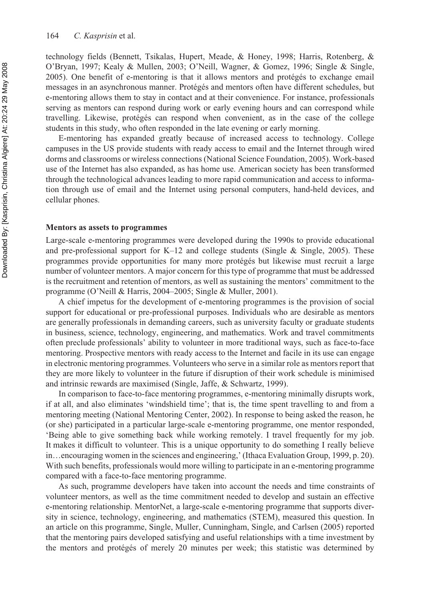technology fields (Bennett, Tsikalas, Hupert, Meade, & Honey, 1998; Harris, Rotenberg, & O'Bryan, 1997; Kealy & Mullen, 2003; O'Neill, Wagner, & Gomez, 1996; Single & Single, 2005). One benefit of e-mentoring is that it allows mentors and protégés to exchange email messages in an asynchronous manner. Protégés and mentors often have different schedules, but e-mentoring allows them to stay in contact and at their convenience. For instance, professionals serving as mentors can respond during work or early evening hours and can correspond while travelling. Likewise, protégés can respond when convenient, as in the case of the college students in this study, who often responded in the late evening or early morning.

E-mentoring has expanded greatly because of increased access to technology. College campuses in the US provide students with ready access to email and the Internet through wired dorms and classrooms or wireless connections (National Science Foundation, 2005). Work-based use of the Internet has also expanded, as has home use. American society has been transformed through the technological advances leading to more rapid communication and access to information through use of email and the Internet using personal computers, hand-held devices, and cellular phones.

#### **Mentors as assets to programmes**

Large-scale e-mentoring programmes were developed during the 1990s to provide educational and pre-professional support for  $K-12$  and college students (Single & Single, 2005). These programmes provide opportunities for many more protégés but likewise must recruit a large number of volunteer mentors. A major concern for this type of programme that must be addressed is the recruitment and retention of mentors, as well as sustaining the mentors' commitment to the programme (O'Neill & Harris, 2004–2005; Single & Muller, 2001).

A chief impetus for the development of e-mentoring programmes is the provision of social support for educational or pre-professional purposes. Individuals who are desirable as mentors are generally professionals in demanding careers, such as university faculty or graduate students in business, science, technology, engineering, and mathematics. Work and travel commitments often preclude professionals' ability to volunteer in more traditional ways, such as face-to-face mentoring. Prospective mentors with ready access to the Internet and facile in its use can engage in electronic mentoring programmes. Volunteers who serve in a similar role as mentors report that they are more likely to volunteer in the future if disruption of their work schedule is minimised and intrinsic rewards are maximised (Single, Jaffe, & Schwartz, 1999).

In comparison to face-to-face mentoring programmes, e-mentoring minimally disrupts work, if at all, and also eliminates 'windshield time'; that is, the time spent travelling to and from a mentoring meeting (National Mentoring Center, 2002). In response to being asked the reason, he (or she) participated in a particular large-scale e-mentoring programme, one mentor responded, 'Being able to give something back while working remotely. I travel frequently for my job. It makes it difficult to volunteer. This is a unique opportunity to do something I really believe in…encouraging women in the sciences and engineering,' (Ithaca Evaluation Group, 1999, p. 20). With such benefits, professionals would more willing to participate in an e-mentoring programme compared with a face-to-face mentoring programme.

As such, programme developers have taken into account the needs and time constraints of volunteer mentors, as well as the time commitment needed to develop and sustain an effective e-mentoring relationship. MentorNet, a large-scale e-mentoring programme that supports diversity in science, technology, engineering, and mathematics (STEM), measured this question. In an article on this programme, Single, Muller, Cunningham, Single, and Carlsen (2005) reported that the mentoring pairs developed satisfying and useful relationships with a time investment by the mentors and protégés of merely 20 minutes per week; this statistic was determined by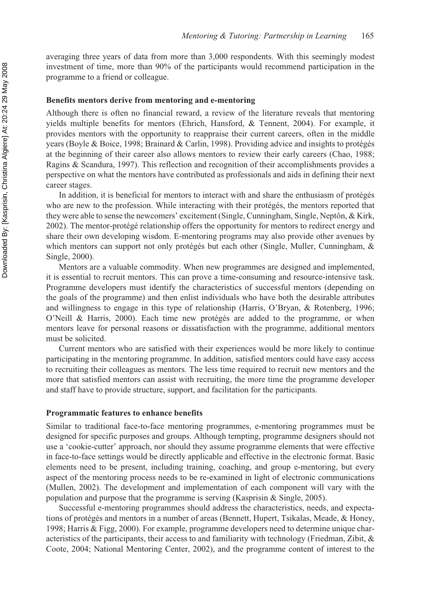averaging three years of data from more than 3,000 respondents. With this seemingly modest investment of time, more than 90% of the participants would recommend participation in the programme to a friend or colleague.

#### **Benefits mentors derive from mentoring and e-mentoring**

Although there is often no financial reward, a review of the literature reveals that mentoring yields multiple benefits for mentors (Ehrich, Hansford, & Tennent, 2004). For example, it provides mentors with the opportunity to reappraise their current careers, often in the middle years (Boyle & Boice, 1998; Brainard & Carlin, 1998). Providing advice and insights to protégés at the beginning of their career also allows mentors to review their early careers (Chao, 1988; Ragins & Scandura, 1997). This reflection and recognition of their accomplishments provides a perspective on what the mentors have contributed as professionals and aids in defining their next career stages.

In addition, it is beneficial for mentors to interact with and share the enthusiasm of protégés who are new to the profession. While interacting with their protégés, the mentors reported that they were able to sense the newcomers' excitement (Single, Cunningham, Single, Neptôn, & Kirk, 2002). The mentor-protégé relationship offers the opportunity for mentors to redirect energy and share their own developing wisdom. E-mentoring programs may also provide other avenues by which mentors can support not only protégés but each other (Single, Muller, Cunningham, & Single, 2000).

Mentors are a valuable commodity. When new programmes are designed and implemented, it is essential to recruit mentors. This can prove a time-consuming and resource-intensive task. Programme developers must identify the characteristics of successful mentors (depending on the goals of the programme) and then enlist individuals who have both the desirable attributes and willingness to engage in this type of relationship (Harris, O'Bryan, & Rotenberg, 1996; O'Neill & Harris, 2000). Each time new protégés are added to the programme, or when mentors leave for personal reasons or dissatisfaction with the programme, additional mentors must be solicited.

Current mentors who are satisfied with their experiences would be more likely to continue participating in the mentoring programme. In addition, satisfied mentors could have easy access to recruiting their colleagues as mentors. The less time required to recruit new mentors and the more that satisfied mentors can assist with recruiting, the more time the programme developer and staff have to provide structure, support, and facilitation for the participants.

#### **Programmatic features to enhance benefits**

Similar to traditional face-to-face mentoring programmes, e-mentoring programmes must be designed for specific purposes and groups. Although tempting, programme designers should not use a 'cookie-cutter' approach, nor should they assume programme elements that were effective in face-to-face settings would be directly applicable and effective in the electronic format. Basic elements need to be present, including training, coaching, and group e-mentoring, but every aspect of the mentoring process needs to be re-examined in light of electronic communications (Mullen, 2002). The development and implementation of each component will vary with the population and purpose that the programme is serving (Kasprisin & Single, 2005).

Successful e-mentoring programmes should address the characteristics, needs, and expectations of protégés and mentors in a number of areas (Bennett, Hupert, Tsikalas, Meade, & Honey, 1998; Harris & Figg, 2000). For example, programme developers need to determine unique characteristics of the participants, their access to and familiarity with technology (Friedman, Zibit, & Coote, 2004; National Mentoring Center, 2002), and the programme content of interest to the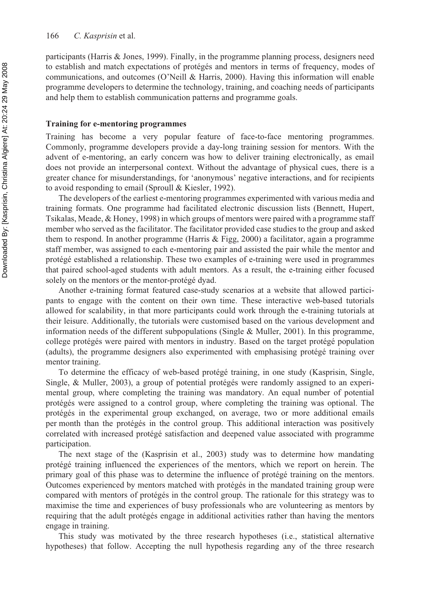participants (Harris & Jones, 1999). Finally, in the programme planning process, designers need to establish and match expectations of protégés and mentors in terms of frequency, modes of communications, and outcomes (O'Neill & Harris, 2000). Having this information will enable programme developers to determine the technology, training, and coaching needs of participants and help them to establish communication patterns and programme goals.

#### **Training for e-mentoring programmes**

Training has become a very popular feature of face-to-face mentoring programmes. Commonly, programme developers provide a day-long training session for mentors. With the advent of e-mentoring, an early concern was how to deliver training electronically, as email does not provide an interpersonal context. Without the advantage of physical cues, there is a greater chance for misunderstandings, for 'anonymous' negative interactions, and for recipients to avoid responding to email (Sproull & Kiesler, 1992).

The developers of the earliest e-mentoring programmes experimented with various media and training formats. One programme had facilitated electronic discussion lists (Bennett, Hupert, Tsikalas, Meade, & Honey, 1998) in which groups of mentors were paired with a programme staff member who served as the facilitator. The facilitator provided case studies to the group and asked them to respond. In another programme (Harris & Figg, 2000) a facilitator, again a programme staff member, was assigned to each e-mentoring pair and assisted the pair while the mentor and protégé established a relationship. These two examples of e-training were used in programmes that paired school-aged students with adult mentors. As a result, the e-training either focused solely on the mentors or the mentor-protégé dyad.

Another e-training format featured case-study scenarios at a website that allowed participants to engage with the content on their own time. These interactive web-based tutorials allowed for scalability, in that more participants could work through the e-training tutorials at their leisure. Additionally, the tutorials were customised based on the various development and information needs of the different subpopulations (Single  $\&$  Muller, 2001). In this programme, college protégés were paired with mentors in industry. Based on the target protégé population (adults), the programme designers also experimented with emphasising protégé training over mentor training.

To determine the efficacy of web-based protégé training, in one study (Kasprisin, Single, Single, & Muller, 2003), a group of potential protégés were randomly assigned to an experimental group, where completing the training was mandatory. An equal number of potential protégés were assigned to a control group, where completing the training was optional. The protégés in the experimental group exchanged, on average, two or more additional emails per month than the protégés in the control group. This additional interaction was positively correlated with increased protégé satisfaction and deepened value associated with programme participation.

The next stage of the (Kasprisin et al., 2003) study was to determine how mandating protégé training influenced the experiences of the mentors, which we report on herein. The primary goal of this phase was to determine the influence of protégé training on the mentors. Outcomes experienced by mentors matched with protégés in the mandated training group were compared with mentors of protégés in the control group. The rationale for this strategy was to maximise the time and experiences of busy professionals who are volunteering as mentors by requiring that the adult protégés engage in additional activities rather than having the mentors engage in training.

This study was motivated by the three research hypotheses (i.e., statistical alternative hypotheses) that follow. Accepting the null hypothesis regarding any of the three research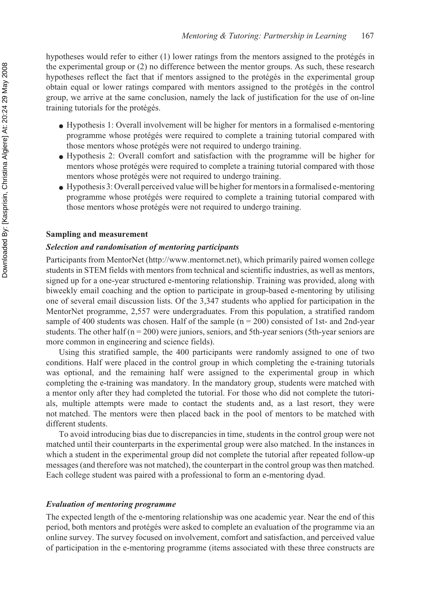hypotheses would refer to either (1) lower ratings from the mentors assigned to the protégés in the experimental group or (2) no difference between the mentor groups. As such, these research hypotheses reflect the fact that if mentors assigned to the protégés in the experimental group obtain equal or lower ratings compared with mentors assigned to the protégés in the control group, we arrive at the same conclusion, namely the lack of justification for the use of on-line training tutorials for the protégés.

- Hypothesis 1: Overall involvement will be higher for mentors in a formalised e-mentoring programme whose protégés were required to complete a training tutorial compared with those mentors whose protégés were not required to undergo training.
- Hypothesis 2: Overall comfort and satisfaction with the programme will be higher for mentors whose protégés were required to complete a training tutorial compared with those mentors whose protégés were not required to undergo training.
- $\bullet$  Hypothesis 3: Overall perceived value will be higher for mentors in a formalised e-mentoring programme whose protégés were required to complete a training tutorial compared with those mentors whose protégés were not required to undergo training.

### **Sampling and measurement**

# *Selection and randomisation of mentoring participants*

Participants from MentorNet (http://www.mentornet.net), which primarily paired women college students in STEM fields with mentors from technical and scientific industries, as well as mentors, signed up for a one-year structured e-mentoring relationship. Training was provided, along with biweekly email coaching and the option to participate in group-based e-mentoring by utilising one of several email discussion lists. Of the 3,347 students who applied for participation in the MentorNet programme, 2,557 were undergraduates. From this population, a stratified random sample of 400 students was chosen. Half of the sample  $(n = 200)$  consisted of 1st- and 2nd-year students. The other half  $(n = 200)$  were juniors, seniors, and 5th-year seniors (5th-year seniors are more common in engineering and science fields).

Using this stratified sample, the 400 participants were randomly assigned to one of two conditions. Half were placed in the control group in which completing the e-training tutorials was optional, and the remaining half were assigned to the experimental group in which completing the e-training was mandatory. In the mandatory group, students were matched with a mentor only after they had completed the tutorial. For those who did not complete the tutorials, multiple attempts were made to contact the students and, as a last resort, they were not matched. The mentors were then placed back in the pool of mentors to be matched with different students.

To avoid introducing bias due to discrepancies in time, students in the control group were not matched until their counterparts in the experimental group were also matched. In the instances in which a student in the experimental group did not complete the tutorial after repeated follow-up messages (and therefore was not matched), the counterpart in the control group was then matched. Each college student was paired with a professional to form an e-mentoring dyad.

#### *Evaluation of mentoring programme*

The expected length of the e-mentoring relationship was one academic year. Near the end of this period, both mentors and protégés were asked to complete an evaluation of the programme via an online survey. The survey focused on involvement, comfort and satisfaction, and perceived value of participation in the e-mentoring programme (items associated with these three constructs are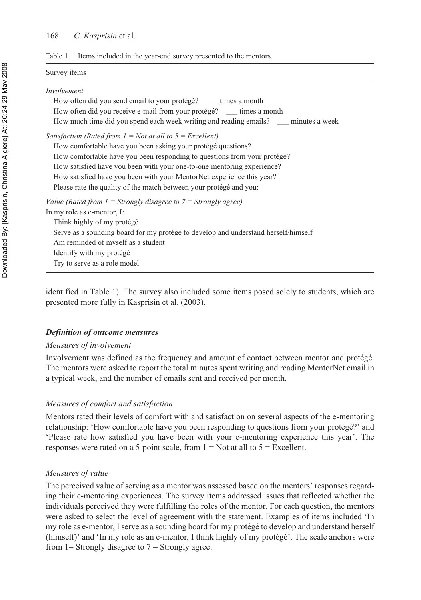| Survey items                                                                                                                                                                                                                                                                                                                                                                                                                        |
|-------------------------------------------------------------------------------------------------------------------------------------------------------------------------------------------------------------------------------------------------------------------------------------------------------------------------------------------------------------------------------------------------------------------------------------|
| Involvement<br>How often did you send email to your protégé? ______ times a month<br>How often did you receive e-mail from your protégé? __ times a month                                                                                                                                                                                                                                                                           |
| Satisfaction (Rated from $1 = Not$ at all to $5 = Excellent$ )<br>How comfortable have you been asking your protégé questions?<br>How comfortable have you been responding to questions from your protégé?<br>How satisfied have you been with your one-to-one mentoring experience?<br>How satisfied have you been with your MentorNet experience this year?<br>Please rate the quality of the match between your protégé and you: |
| Value (Rated from $1 =$ Strongly disagree to $7 =$ Strongly agree)<br>In my role as e-mentor, I:<br>Think highly of my protégé<br>Serve as a sounding board for my protégé to develop and understand herself/himself<br>Am reminded of myself as a student<br>Identify with my protégé<br>Try to serve as a role model                                                                                                              |

identified in Table 1). The survey also included some items posed solely to students, which are presented more fully in Kasprisin et al. (2003).

# *Definition of outcome measures*

# *Measures of involvement*

Involvement was defined as the frequency and amount of contact between mentor and protégé. The mentors were asked to report the total minutes spent writing and reading MentorNet email in a typical week, and the number of emails sent and received per month.

# *Measures of comfort and satisfaction*

Mentors rated their levels of comfort with and satisfaction on several aspects of the e-mentoring relationship: 'How comfortable have you been responding to questions from your protégé?' and 'Please rate how satisfied you have been with your e-mentoring experience this year'. The responses were rated on a 5-point scale, from  $1 = Not$  at all to  $5 = Excellent$ .

# *Measures of value*

The perceived value of serving as a mentor was assessed based on the mentors' responses regarding their e-mentoring experiences. The survey items addressed issues that reflected whether the individuals perceived they were fulfilling the roles of the mentor. For each question, the mentors were asked to select the level of agreement with the statement. Examples of items included 'In my role as e-mentor, I serve as a sounding board for my protégé to develop and understand herself (himself)' and 'In my role as an e-mentor, I think highly of my protégé'. The scale anchors were from  $1 =$  Strongly disagree to  $7 =$  Strongly agree.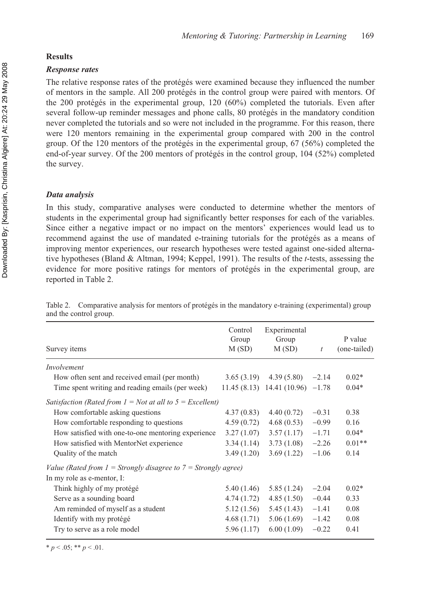# **Results**

### *Response rates*

The relative response rates of the protégés were examined because they influenced the number of mentors in the sample. All 200 protégés in the control group were paired with mentors. Of the 200 protégés in the experimental group, 120 (60%) completed the tutorials. Even after several follow-up reminder messages and phone calls, 80 protégés in the mandatory condition never completed the tutorials and so were not included in the programme. For this reason, there were 120 mentors remaining in the experimental group compared with 200 in the control group. Of the 120 mentors of the protégés in the experimental group, 67 (56%) completed the end-of-year survey. Of the 200 mentors of protégés in the control group, 104 (52%) completed the survey.

# *Data analysis*

In this study, comparative analyses were conducted to determine whether the mentors of students in the experimental group had significantly better responses for each of the variables. Since either a negative impact or no impact on the mentors' experiences would lead us to recommend against the use of mandated e-training tutorials for the protégés as a means of improving mentor experiences, our research hypotheses were tested against one-sided alternative hypotheses (Bland & Altman, 1994; Keppel, 1991). The results of the *t*-tests, assessing the evidence for more positive ratings for mentors of protégés in the experimental group, are reported in Table 2.

| Table 2. Comparative analysis for mentors of protégés in the mandatory e-training (experimental) group |  |
|--------------------------------------------------------------------------------------------------------|--|
| and the control group.                                                                                 |  |

| Survey items                                                       | Control<br>Group<br>M(SD) | Experimental<br>Group<br>M(SD)      | $\mathfrak{t}$ | P value<br>(one-tailed) |
|--------------------------------------------------------------------|---------------------------|-------------------------------------|----------------|-------------------------|
| Involvement                                                        |                           |                                     |                |                         |
| How often sent and received email (per month)                      |                           | $3.65(3.19)$ $4.39(5.80)$           | $-2.14$        | $0.02*$                 |
| Time spent writing and reading emails (per week)                   |                           | $11.45(8.13)$ 14.41 (10.96) $-1.78$ |                | $0.04*$                 |
| Satisfaction (Rated from $1 = Not$ at all to $5 = Excellent$ )     |                           |                                     |                |                         |
| How comfortable asking questions                                   | 4.37(0.83)                | 4.40(0.72)                          | $-0.31$        | 0.38                    |
| How comfortable responding to questions                            | 4.59(0.72)                | 4.68(0.53)                          | $-0.99$        | 0.16                    |
| How satisfied with one-to-one mentoring experience                 | 3.27(1.07)                | 3.57(1.17)                          | $-1.71$        | $0.04*$                 |
| How satisfied with MentorNet experience                            | 3.34(1.14)                | 3.73(1.08)                          | $-2.26$        | $0.01**$                |
| Quality of the match                                               | 3.49(1.20)                | 3.69(1.22)                          | $-1.06$        | 0.14                    |
| Value (Rated from $1 =$ Strongly disagree to $7 =$ Strongly agree) |                           |                                     |                |                         |
| In my role as e-mentor, I:                                         |                           |                                     |                |                         |
| Think highly of my protégé                                         | 5.40 (1.46)               | 5.85(1.24)                          | $-2.04$        | $0.02*$                 |
| Serve as a sounding board                                          | 4.74(1.72)                | 4.85(1.50)                          | $-0.44$        | 0.33                    |
| Am reminded of myself as a student                                 | 5.12(1.56)                | 5.45(1.43)                          | $-1.41$        | 0.08                    |
| Identify with my protégé                                           | 4.68(1.71)                | 5.06(1.69)                          | $-1.42$        | 0.08                    |
| Try to serve as a role model                                       | 5.96 (1.17)               | 6.00(1.09)                          | $-0.22$        | 0.41                    |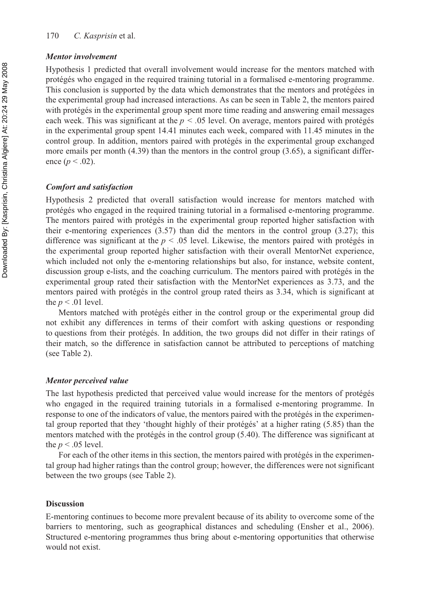### *Mentor involvement*

Hypothesis 1 predicted that overall involvement would increase for the mentors matched with protégés who engaged in the required training tutorial in a formalised e-mentoring programme. This conclusion is supported by the data which demonstrates that the mentors and protégées in the experimental group had increased interactions. As can be seen in Table 2, the mentors paired with protégés in the experimental group spent more time reading and answering email messages each week. This was significant at the *p < .*05 level. On average, mentors paired with protégés in the experimental group spent 14.41 minutes each week, compared with 11.45 minutes in the control group. In addition, mentors paired with protégés in the experimental group exchanged more emails per month  $(4.39)$  than the mentors in the control group  $(3.65)$ , a significant difference  $(p < .02)$ .

#### *Comfort and satisfaction*

Hypothesis 2 predicted that overall satisfaction would increase for mentors matched with protégés who engaged in the required training tutorial in a formalised e-mentoring programme. The mentors paired with protégés in the experimental group reported higher satisfaction with their e-mentoring experiences (3.57) than did the mentors in the control group (3.27); this difference was significant at the  $p < .05$  level. Likewise, the mentors paired with protégés in the experimental group reported higher satisfaction with their overall MentorNet experience, which included not only the e-mentoring relationships but also, for instance, website content, discussion group e-lists, and the coaching curriculum. The mentors paired with protégés in the experimental group rated their satisfaction with the MentorNet experiences as 3.73, and the mentors paired with protégés in the control group rated theirs as 3.34, which is significant at the  $p < 0.01$  level.

Mentors matched with protégés either in the control group or the experimental group did not exhibit any differences in terms of their comfort with asking questions or responding to questions from their protégés. In addition, the two groups did not differ in their ratings of their match, so the difference in satisfaction cannot be attributed to perceptions of matching (see Table 2).

#### *Mentor perceived value*

The last hypothesis predicted that perceived value would increase for the mentors of protégés who engaged in the required training tutorials in a formalised e-mentoring programme. In response to one of the indicators of value, the mentors paired with the protégés in the experimental group reported that they 'thought highly of their protégés' at a higher rating (5.85) than the mentors matched with the protégés in the control group (5.40). The difference was significant at the  $p < .05$  level.

For each of the other items in this section, the mentors paired with protégés in the experimental group had higher ratings than the control group; however, the differences were not significant between the two groups (see Table 2).

#### **Discussion**

E-mentoring continues to become more prevalent because of its ability to overcome some of the barriers to mentoring, such as geographical distances and scheduling (Ensher et al., 2006). Structured e-mentoring programmes thus bring about e-mentoring opportunities that otherwise would not exist.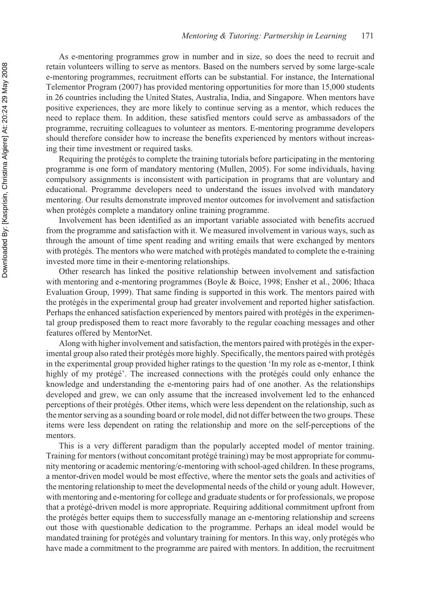As e-mentoring programmes grow in number and in size, so does the need to recruit and retain volunteers willing to serve as mentors. Based on the numbers served by some large-scale e-mentoring programmes, recruitment efforts can be substantial. For instance, the International Telementor Program (2007) has provided mentoring opportunities for more than 15,000 students in 26 countries including the United States, Australia, India, and Singapore. When mentors have positive experiences, they are more likely to continue serving as a mentor, which reduces the need to replace them. In addition, these satisfied mentors could serve as ambassadors of the programme, recruiting colleagues to volunteer as mentors. E-mentoring programme developers should therefore consider how to increase the benefits experienced by mentors without increasing their time investment or required tasks.

Requiring the protégés to complete the training tutorials before participating in the mentoring programme is one form of mandatory mentoring (Mullen, 2005). For some individuals, having compulsory assignments is inconsistent with participation in programs that are voluntary and educational. Programme developers need to understand the issues involved with mandatory mentoring. Our results demonstrate improved mentor outcomes for involvement and satisfaction when protégés complete a mandatory online training programme.

Involvement has been identified as an important variable associated with benefits accrued from the programme and satisfaction with it. We measured involvement in various ways, such as through the amount of time spent reading and writing emails that were exchanged by mentors with protégés. The mentors who were matched with protégés mandated to complete the e-training invested more time in their e-mentoring relationships.

Other research has linked the positive relationship between involvement and satisfaction with mentoring and e-mentoring programmes (Boyle & Boice, 1998; Ensher et al., 2006; Ithaca Evaluation Group, 1999). That same finding is supported in this work. The mentors paired with the protégés in the experimental group had greater involvement and reported higher satisfaction. Perhaps the enhanced satisfaction experienced by mentors paired with protégés in the experimental group predisposed them to react more favorably to the regular coaching messages and other features offered by MentorNet.

Along with higher involvement and satisfaction, the mentors paired with protégés in the experimental group also rated their protégés more highly. Specifically, the mentors paired with protégés in the experimental group provided higher ratings to the question 'In my role as e-mentor, I think highly of my protégé'. The increased connections with the protégés could only enhance the knowledge and understanding the e-mentoring pairs had of one another. As the relationships developed and grew, we can only assume that the increased involvement led to the enhanced perceptions of their protégés. Other items, which were less dependent on the relationship, such as the mentor serving as a sounding board or role model, did not differ between the two groups. These items were less dependent on rating the relationship and more on the self-perceptions of the mentors.

This is a very different paradigm than the popularly accepted model of mentor training. Training for mentors (without concomitant protégé training) may be most appropriate for community mentoring or academic mentoring/e-mentoring with school-aged children. In these programs, a mentor-driven model would be most effective, where the mentor sets the goals and activities of the mentoring relationship to meet the developmental needs of the child or young adult. However, with mentoring and e-mentoring for college and graduate students or for professionals, we propose that a protégé-driven model is more appropriate. Requiring additional commitment upfront from the protégés better equips them to successfully manage an e-mentoring relationship and screens out those with questionable dedication to the programme. Perhaps an ideal model would be mandated training for protégés and voluntary training for mentors. In this way, only protégés who have made a commitment to the programme are paired with mentors. In addition, the recruitment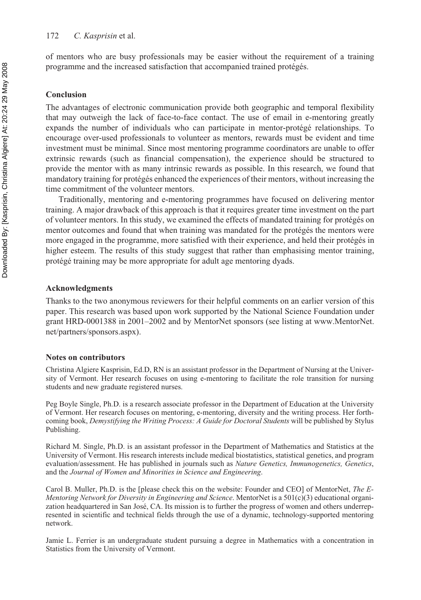of mentors who are busy professionals may be easier without the requirement of a training programme and the increased satisfaction that accompanied trained protégés.

### **Conclusion**

The advantages of electronic communication provide both geographic and temporal flexibility that may outweigh the lack of face-to-face contact. The use of email in e-mentoring greatly expands the number of individuals who can participate in mentor-protégé relationships. To encourage over-used professionals to volunteer as mentors, rewards must be evident and time investment must be minimal. Since most mentoring programme coordinators are unable to offer extrinsic rewards (such as financial compensation), the experience should be structured to provide the mentor with as many intrinsic rewards as possible. In this research, we found that mandatory training for protégés enhanced the experiences of their mentors, without increasing the time commitment of the volunteer mentors.

Traditionally, mentoring and e-mentoring programmes have focused on delivering mentor training. A major drawback of this approach is that it requires greater time investment on the part of volunteer mentors. In this study, we examined the effects of mandated training for protégés on mentor outcomes and found that when training was mandated for the protégés the mentors were more engaged in the programme, more satisfied with their experience, and held their protégés in higher esteem. The results of this study suggest that rather than emphasising mentor training, protégé training may be more appropriate for adult age mentoring dyads.

### **Acknowledgments**

Thanks to the two anonymous reviewers for their helpful comments on an earlier version of this paper. This research was based upon work supported by the National Science Foundation under grant HRD-0001388 in 2001–2002 and by MentorNet sponsors (see listing at www.MentorNet. net/partners/sponsors.aspx).

#### **Notes on contributors**

Christina Algiere Kasprisin, Ed.D, RN is an assistant professor in the Department of Nursing at the University of Vermont. Her research focuses on using e-mentoring to facilitate the role transition for nursing students and new graduate registered nurses.

Peg Boyle Single, Ph.D. is a research associate professor in the Department of Education at the University of Vermont. Her research focuses on mentoring, e-mentoring, diversity and the writing process. Her forthcoming book, *Demystifying the Writing Process: A Guide for Doctoral Students* will be published by Stylus Publishing.

Richard M. Single, Ph.D. is an assistant professor in the Department of Mathematics and Statistics at the University of Vermont. His research interests include medical biostatistics, statistical genetics, and program evaluation/assessment. He has published in journals such as *Nature Genetics, Immunogenetics, Genetics*, and the *Journal of Women and Minorities in Science and Engineering*.

Carol B. Muller, Ph.D. is the [please check this on the website: Founder and CEO] of MentorNet, *The E-Mentoring Network for Diversity in Engineering and Science*. MentorNet is a 501(c)(3) educational organization headquartered in San José, CA. Its mission is to further the progress of women and others underrepresented in scientific and technical fields through the use of a dynamic, technology-supported mentoring network.

Jamie L. Ferrier is an undergraduate student pursuing a degree in Mathematics with a concentration in Statistics from the University of Vermont.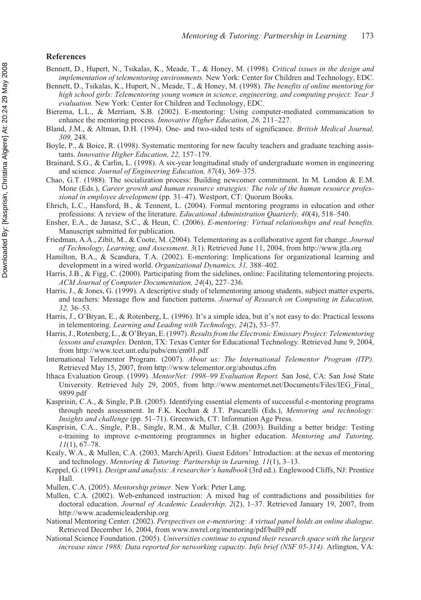### **References**

- Bennett, D., Hupert, N., Tsikalas, K., Meade, T., & Honey, M. (1998). *Critical issues in the design and implementation of telementoring environments.* New York: Center for Children and Technology, EDC.
- Bennett, D., Tsikalas, K., Hupert, N., Meade, T., & Honey, M. (1998). *The benefits of online mentoring for high school girls: Telementoring young women in science, engineering, and computing project: Year 3 evaluation.* New York: Center for Children and Technology, EDC.
- Bierema, L.L., & Merriam, S.B. (2002). E-mentoring: Using computer-mediated communication to enhance the mentoring process. *Innovative Higher Education, 26,* 211–227.
- Bland, J.M., & Altman, D.H. (1994). One- and two-sided tests of significance. *British Medical Journal, 309,* 248.
- Boyle, P., & Boice, R. (1998). Systematic mentoring for new faculty teachers and graduate teaching assistants. *Innovative Higher Education, 22,* 157–179.
- Brainard, S.G., & Carlin, L. (1998). A six-year longitudinal study of undergraduate women in engineering and science. *Journal of Engineering Education, 87*(4), 369–375.
- Chao, G.T. (1988). The socialization process: Building newcomer commitment. In M. London & E.M. Mone (Eds.), *Career growth and human resource strategies: The role of the human resource professional in employee development* (pp. 31–47). Westport, CT: Quorum Books.
- Ehrich, L.C., Hansford, B., & Tennent, L. (2004). Formal mentoring programs in education and other professions: A review of the literature. *Educational Administration Quarterly, 40*(4), 518–540.
- Ensher, E.A., de Janasz, S.C., & Heun, C. (2006). *E-mentoring: Virtual relationships and real benefits.* Manuscript submitted for publication.
- Friedman, A.A., Zibit, M., & Coote, M. (2004). Telementoring as a collaborative agent for change. *Journal of Technology, Learning, and Assessment, 3*(1). Retrieved June 11, 2004, from http://www.jtla.org
- Hamilton, B.A., & Scandura, T.A. (2002). E-mentoring: Implications for organizational learning and development in a wired world. *Organizational Dynamics, 31,* 388–402.
- Harris, J.B., & Figg, C. (2000). Participating from the sidelines, online: Facilitating telementoring projects. *ACM Journal of Computer Documentation, 24*(4), 227–236.
- Harris, J., & Jones, G. (1999). A descriptive study of telementoring among students, subject matter experts, and teachers: Message flow and function patterns. *Journal of Research on Computing in Education, 32,* 36–53.
- Harris, J., O'Bryan, E., & Rotenberg, L. (1996). It's a simple idea, but it's not easy to do: Practical lessons in telementoring. *Learning and Leading with Technology, 24*(2), 53–57.
- Harris, J., Rotenberg, L., & O'Bryan, E. (1997). *Results from the Electronic Emissary Project: Telementoring lessons and examples.* Denton, TX: Texas Center for Educational Technology. Retrieved June 9, 2004, from http://www.tcet.unt.edu/pubs/em/em01.pdf
- International Telementor Program. (2007). *About us: The International Telementor Program (ITP).* Retrieved May 15, 2007, from http://www.telementor.org/aboutus.cfm
- Ithaca Evaluation Group. (1999). *MentorNet: 1998–99 Evaluation Report.* San José, CA: San José State University. Retrieved July 29, 2005, from http://www.mentornet.net/Documents/Files/IEG\_Final\_ 9899.pdf
- Kasprisin, C.A., & Single, P.B. (2005). Identifying essential elements of successful e-mentoring programs through needs assessment. In F.K. Kochan & J.T. Pascarelli (Eds.), *Mentoring and technology: Insights and challenge* (pp. 51–71). Greenwich, CT: Information Age Press.
- Kasprisin, C.A., Single, P.B., Single, R.M., & Muller, C.B. (2003). Building a better bridge: Testing e-training to improve e-mentoring programmes in higher education. *Mentoring and Tutoring, 11*(1), 67–78.
- Kealy, W.A., & Mullen, C.A. (2003, March/April). Guest Editors' Introduction: at the nexus of mentoring and technology. *Mentoring & Tutoring: Partnership in Learning, 11*(1), 3–13.
- Keppel, G. (1991). *Design and analysis: A researcher's handbook* (3rd ed.). Englewood Cliffs, NJ: Prentice Hall.
- Mullen, C.A. (2005). *Mentorship primer.* New York: Peter Lang.
- Mullen, C.A. (2002). Web-enhanced instruction: A mixed bag of contradictions and possibilities for doctoral education. *Journal of Academic Leadership, 2*(2), 1–37. Retrieved January 19, 2007, from http://www.academicleadership.org
- National Mentoring Center. (2002). *Perspectives on e-mentoring: A virtual panel holds an online dialogue.* Retrieved December 16, 2004, from www.nwrel.org/mentoring/pdf/bull9.pdf
- National Science Foundation. (2005). *Universities continue to expand their research space with the largest increase since 1988; Data reported for networking capacity. Info brief (NSF 05-314).* Arlington, VA: